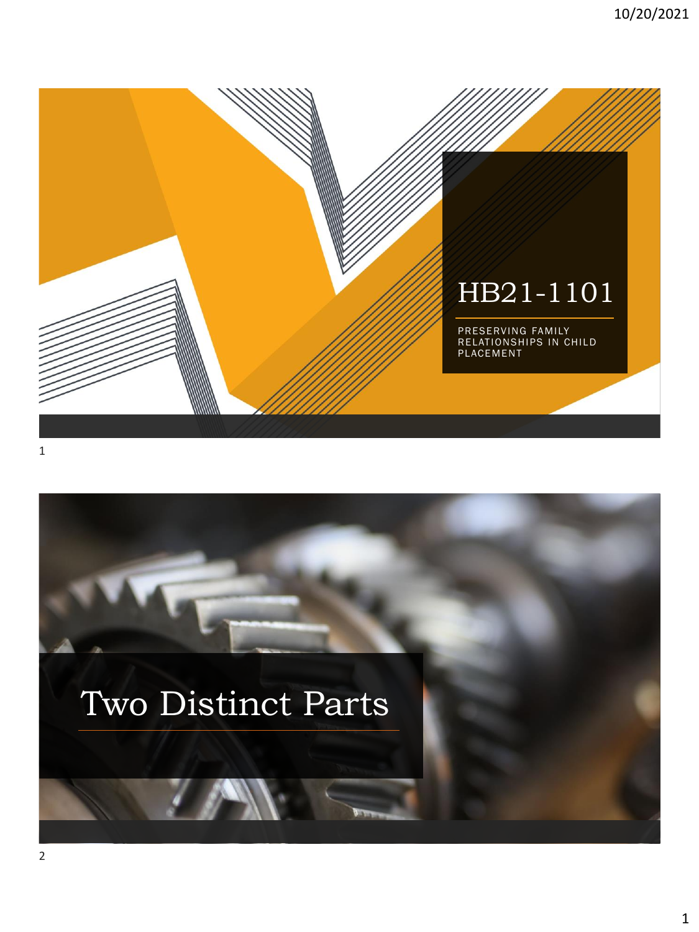



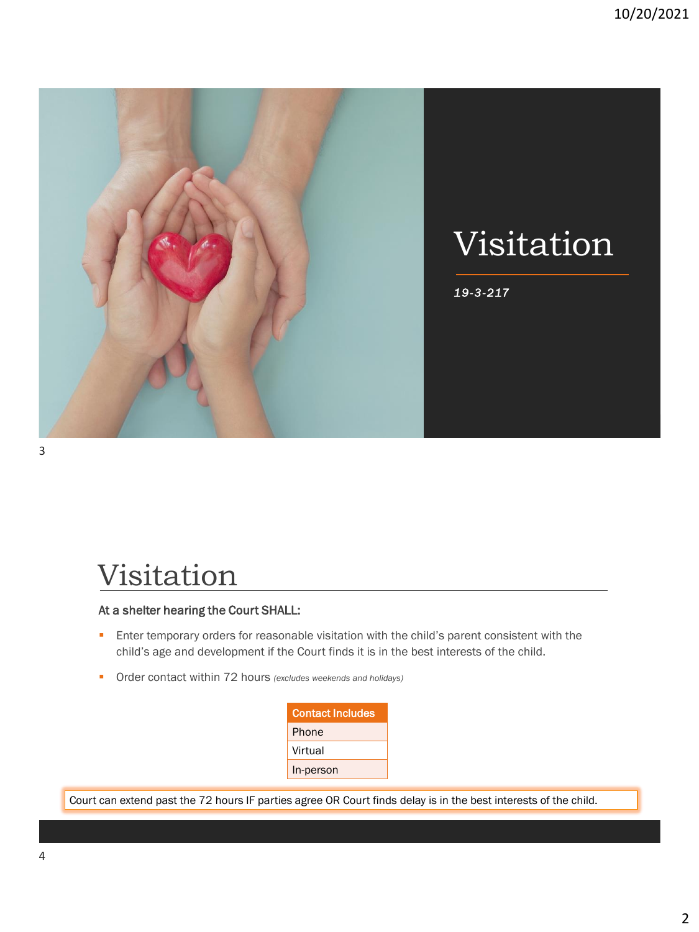

#### Visitation

#### At a shelter hearing the Court SHALL:

- **Enter temporary orders for reasonable visitation with the child's parent consistent with the** child's age and development if the Court finds it is in the best interests of the child.
- Order contact within 72 hours *(excludes weekends and holidays)*

| <b>Contact Includes</b> |
|-------------------------|
| Phone                   |
| Virtual                 |
| In-person               |

Court can extend past the 72 hours IF parties agree OR Court finds delay is in the best interests of the child.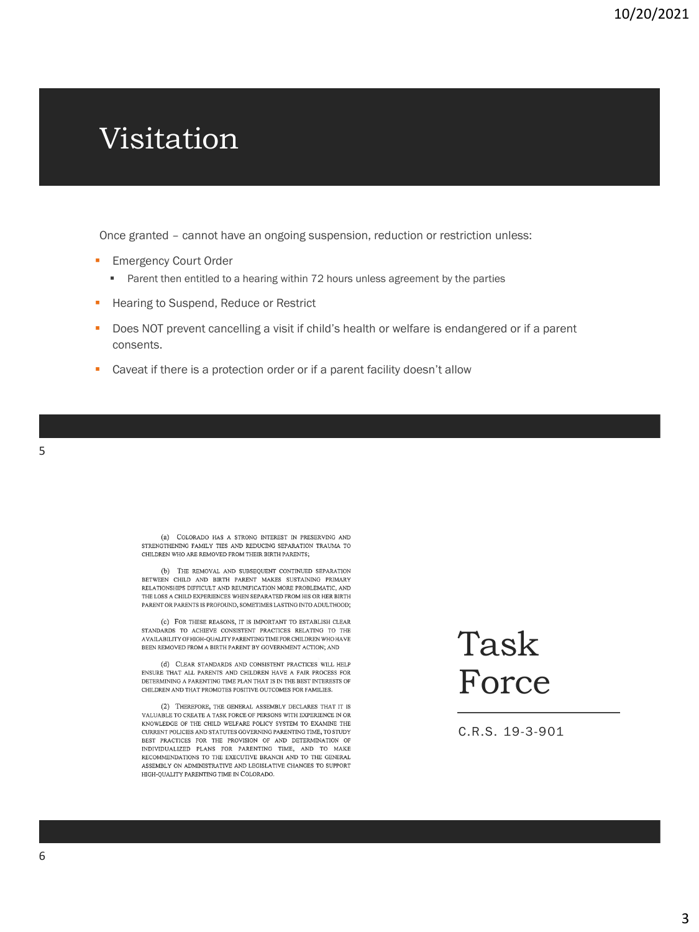#### Visitation

Once granted – cannot have an ongoing suspension, reduction or restriction unless:

- **Emergency Court Order** 
	- Parent then entitled to a hearing within 72 hours unless agreement by the parties
- **EXECUTE:** Hearing to Suspend, Reduce or Restrict
- Does NOT prevent cancelling a visit if child's health or welfare is endangered or if a parent consents.
- Caveat if there is a protection order or if a parent facility doesn't allow

(a) COLORADO HAS A STRONG INTEREST IN PRESERVING AND STRENGTHENING FAMILY TIES AND REDUCING SEPARATION TRAUMA TO CHILDREN WHO ARE REMOVED FROM THEIR BIRTH PARENTS;

(b) THE REMOVAL AND SUBSEQUENT CONTINUED SEPARATION BETWEEN CHILD AND BIRTH PARENT MAKES SUSTAINING PRIMARY RELATIONSHIPS DIFFICULT AND REUNIFICATION MORE PROBLEMATIC, AND THE LOSS A CHILD EXPERIENCES WHEN SEPARATED FROM HIS OR HER BIRTH PARENT OR PARENTS IS PROFOUND, SOMETIMES LASTING INTO ADULTHOOD,

(c) FOR THESE REASONS, IT IS IMPORTANT TO ESTABLISH CLEAR STANDARDS TO ACHIEVE CONSISTENT PRACTICES RELATING TO THE AVAILABILITY OF HIGH-QUALITY PARENTING TIME FOR CHILDREN WHO HAVE BEEN REMOVED FROM A BIRTH PARENT BY GOVERNMENT ACTION; AND

(d) CLEAR STANDARDS AND CONSISTENT PRACTICES WILL HELP ENSURE THAT ALL PARENTS AND CHILDREN HAVE A FAIR PROCESS FOR DETERMINING A PARENTING TIME PLAN THAT IS IN THE BEST INTERESTS OF CHILDREN AND THAT PROMOTES POSITIVE OUTCOMES FOR FAMILIES

(2) THEREFORE, THE GENERAL ASSEMBLY DECLARES THAT IT IS VALUABLE TO CREATE A TASK FORCE OF PERSONS WITH EXPERIENCE IN OR KNOWLEDGE OF THE CHILD WELFARE POLICY SYSTEM TO EXAMINE THE CURRENT POLICIES AND STATUTES GOVERNING PARENTING TIME, TO STUDY BEST PRACTICES FOR THE PROVISION OF AND DETERMINATION OF INDIVIDUALIZED PLANS FOR PARENTING TIME, AND TO MAKE RECOMMENDATIONS TO THE EXECUTIVE BRANCH AND TO THE GENERAL ASSEMBLY ON ADMINISTRATIVE AND LEGISLATIVE CHANGES TO SUPPORT HIGH-QUALITY PARENTING TIME IN COLORADO.

# Task Force

C.R.S. 19-3-901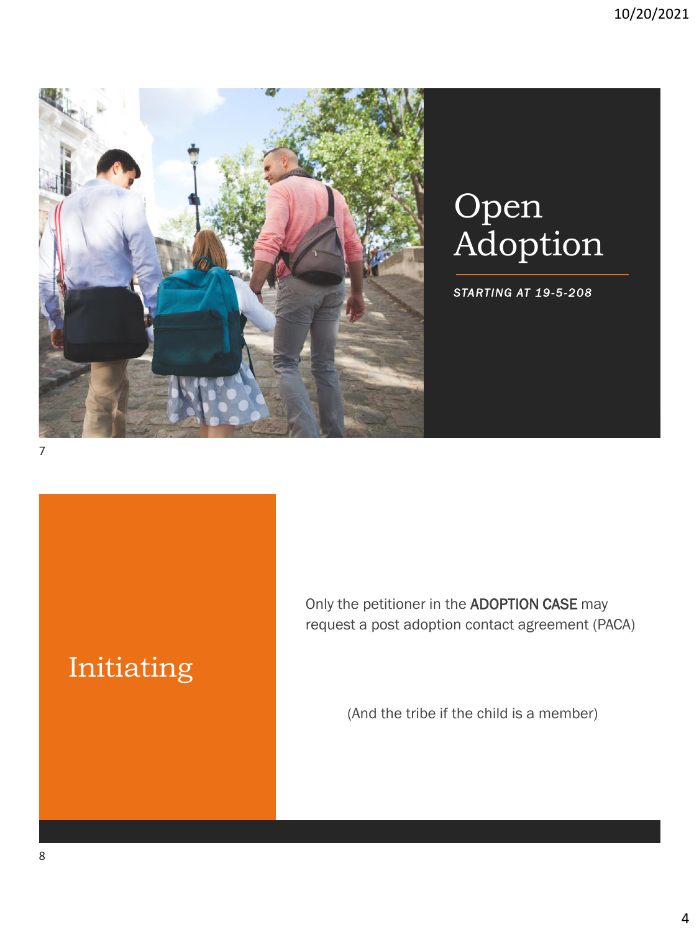

# **Open** Adoption

*STARTING AT 19-5-208*

#### Initiating

Only the petitioner in the ADOPTION CASE may request a post adoption contact agreement (PACA)

(And the tribe if the child is a member)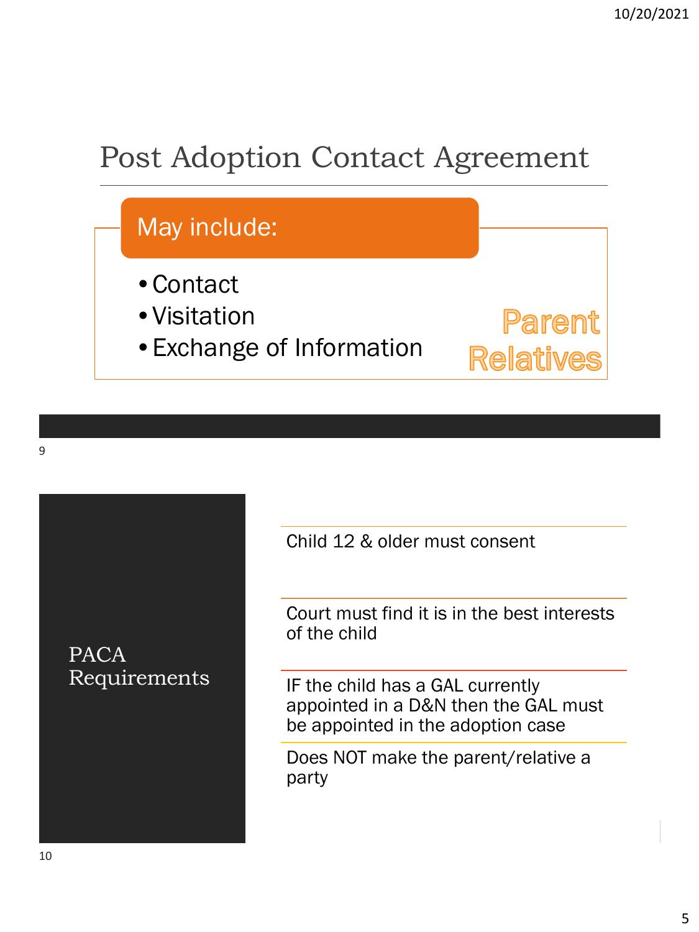## Post Adoption Contact Agreement



PACA Requirements Child 12 & older must consent

Court must find it is in the best interests of the child

IF the child has a GAL currently appointed in a D&N then the GAL must be appointed in the adoption case

Does NOT make the parent/relative a party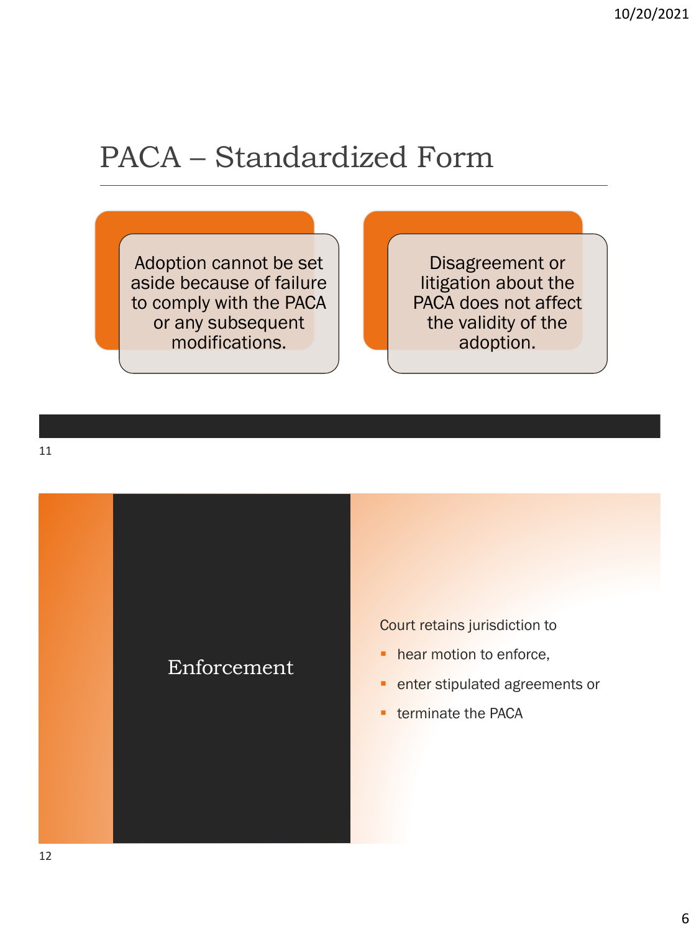### PACA – Standardized Form

Adoption cannot be set aside because of failure to comply with the PACA or any subsequent modifications.

Disagreement or litigation about the PACA does not affect the validity of the adoption.



Court retains jurisdiction to

- **·** hear motion to enforce,
- **· enter stipulated agreements or**
- **E** terminate the PACA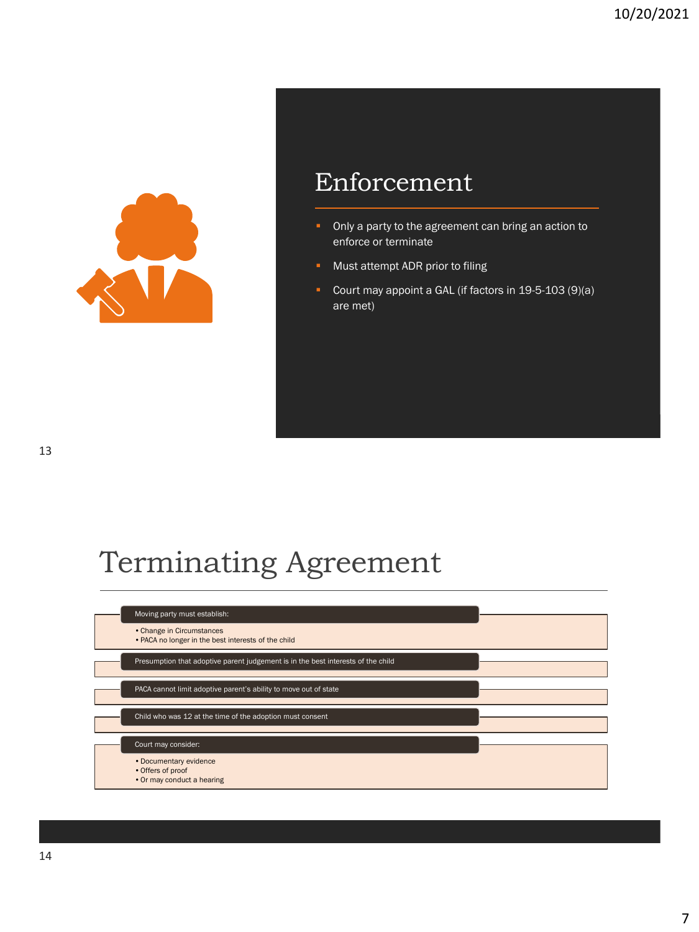

#### Enforcement

- **•** Only a party to the agreement can bring an action to enforce or terminate
- Must attempt ADR prior to filing
- Court may appoint a GAL (if factors in 19-5-103 (9)(a) are met)

## Terminating Agreement

| Moving party must establish:                                                     |  |
|----------------------------------------------------------------------------------|--|
| • Change in Circumstances<br>• PACA no longer in the best interests of the child |  |
| Presumption that adoptive parent judgement is in the best interests of the child |  |
| PACA cannot limit adoptive parent's ability to move out of state                 |  |
| Child who was 12 at the time of the adoption must consent                        |  |
| Court may consider:                                                              |  |
| • Documentary evidence<br>• Offers of proof<br>• Or may conduct a hearing        |  |